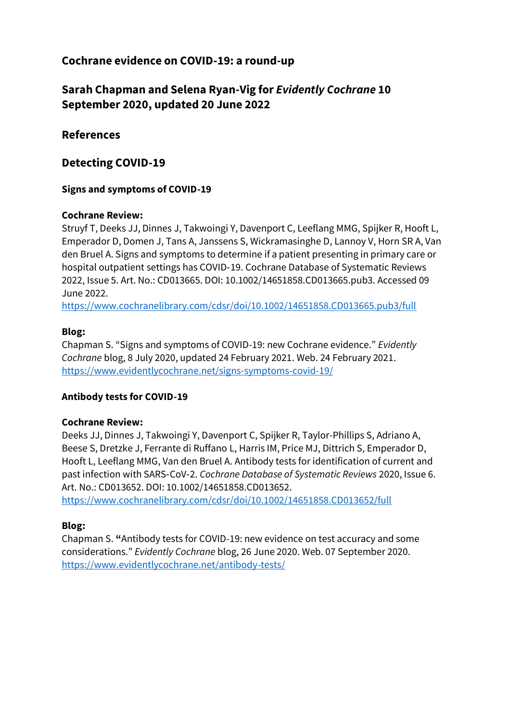# **Cochrane evidence on COVID-19: a round-up**

# **Sarah Chapman and Selena Ryan-Vig for** *Evidently Cochrane* **10 September 2020, updated 20 June 2022**

# **References**

# **Detecting COVID-19**

# **Signs and symptoms of COVID-19**

# **Cochrane Review:**

Struyf T, Deeks JJ, Dinnes J, Takwoingi Y, Davenport C, Leeflang MMG, Spijker R, Hooft L, Emperador D, Domen J, Tans A, Janssens S, Wickramasinghe D, Lannoy V, Horn SR A, Van den Bruel A. Signs and symptoms to determine if a patient presenting in primary care or hospital outpatient settings has COVID‐19. Cochrane Database of Systematic Reviews 2022, Issue 5. Art. No.: CD013665. DOI: 10.1002/14651858.CD013665.pub3. Accessed 09 June 2022.

<https://www.cochranelibrary.com/cdsr/doi/10.1002/14651858.CD013665.pub3/full>

# **Blog:**

Chapman S. "Signs and symptoms of COVID-19: new Cochrane evidence." *Evidently Cochrane* blog, 8 July 2020, updated 24 February 2021. Web. 24 February 2021. <https://www.evidentlycochrane.net/signs-symptoms-covid-19/>

# **Antibody tests for COVID-19**

# **Cochrane Review:**

Deeks JJ, Dinnes J, Takwoingi Y, Davenport C, Spijker R, Taylor-Phillips S, Adriano A, Beese S, Dretzke J, Ferrante di Ruffano L, Harris IM, Price MJ, Dittrich S, Emperador D, Hooft L, Leeflang MMG, Van den Bruel A. Antibody tests for identification of current and past infection with SARS‐CoV‐2. *Cochrane Database of Systematic Reviews* 2020, Issue 6. Art. No.: CD013652. DOI: 10.1002/14651858.CD013652.

<https://www.cochranelibrary.com/cdsr/doi/10.1002/14651858.CD013652/full>

# **Blog:**

Chapman S. **"**Antibody tests for COVID-19: new evidence on test accuracy and some considerations." *Evidently Cochrane* blog, 26 June 2020. Web. 07 September 2020. <https://www.evidentlycochrane.net/antibody-tests/>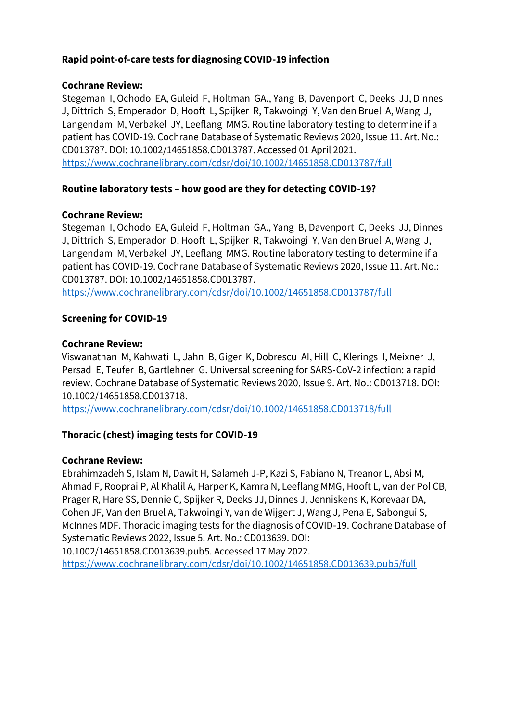### **Rapid point-of-care tests for diagnosing COVID-19 infection**

#### **Cochrane Review:**

Stegeman I, Ochodo EA, Guleid F, Holtman GA., Yang B, Davenport C, Deeks JJ, Dinnes J, Dittrich S, Emperador D, Hooft L, Spijker R, Takwoingi Y, Van den Bruel A, Wang J, Langendam M, Verbakel JY, Leeflang MMG. Routine laboratory testing to determine if a patient has COVID‐19. Cochrane Database of Systematic Reviews 2020, Issue 11. Art. No.: CD013787. DOI: 10.1002/14651858.CD013787. Accessed 01 April 2021. <https://www.cochranelibrary.com/cdsr/doi/10.1002/14651858.CD013787/full>

### **Routine laboratory tests – how good are they for detecting COVID-19?**

### **Cochrane Review:**

Stegeman I, Ochodo EA, Guleid F, Holtman GA., Yang B, Davenport C, Deeks JJ, Dinnes J, Dittrich S, Emperador D, Hooft L, Spijker R, Takwoingi Y, Van den Bruel A, Wang J, Langendam M, Verbakel JY, Leeflang MMG. Routine laboratory testing to determine if a patient has COVID-19. Cochrane Database of Systematic Reviews 2020, Issue 11. Art. No.: CD013787. DOI: 10.1002/14651858.CD013787.

<https://www.cochranelibrary.com/cdsr/doi/10.1002/14651858.CD013787/full>

### **Screening for COVID-19**

### **Cochrane Review:**

Viswanathan M, Kahwati L, Jahn B, Giger K, Dobrescu AI, Hill C, Klerings I, Meixner J, Persad E, Teufer B, Gartlehner G. Universal screening for SARS‐CoV‐2 infection: a rapid review. Cochrane Database of Systematic Reviews 2020, Issue 9. Art. No.: CD013718. DOI: 10.1002/14651858.CD013718.

<https://www.cochranelibrary.com/cdsr/doi/10.1002/14651858.CD013718/full>

### **Thoracic (chest) imaging tests for COVID-19**

### **Cochrane Review:**

Ebrahimzadeh S, Islam N, Dawit H, Salameh J-P, Kazi S, Fabiano N, Treanor L, Absi M, Ahmad F, Rooprai P, Al Khalil A, Harper K, Kamra N, Leeflang MMG, Hooft L, van der Pol CB, Prager R, Hare SS, Dennie C, Spijker R, Deeks JJ, Dinnes J, Jenniskens K, Korevaar DA, Cohen JF, Van den Bruel A, Takwoingi Y, van de Wijgert J, Wang J, Pena E, Sabongui S, McInnes MDF. Thoracic imaging tests for the diagnosis of COVID‐19. Cochrane Database of Systematic Reviews 2022, Issue 5. Art. No.: CD013639. DOI:

10.1002/14651858.CD013639.pub5. Accessed 17 May 2022.

<https://www.cochranelibrary.com/cdsr/doi/10.1002/14651858.CD013639.pub5/full>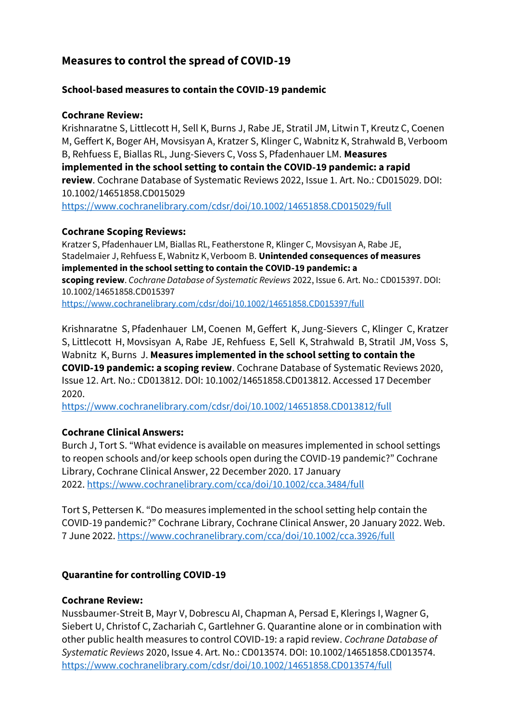# **Measures to control the spread of COVID-19**

### **School-based measures to contain the COVID-19 pandemic**

### **Cochrane Review:**

Krishnaratne S, Littlecott H, Sell K, Burns J, Rabe JE, Stratil JM, Litwin T, Kreutz C, Coenen M, Geffert K, Boger AH, Movsisyan A, Kratzer S, Klinger C, Wabnitz K, Strahwald B, Verboom B, Rehfuess E, Biallas RL, Jung-Sievers C, Voss S, Pfadenhauer LM. **Measures implemented in the school setting to contain the COVID**‐**19 pandemic: a rapid review**. Cochrane Database of Systematic Reviews 2022, Issue 1. Art. No.: CD015029. DOI: 10.1002/14651858.CD015029

<https://www.cochranelibrary.com/cdsr/doi/10.1002/14651858.CD015029/full>

### **Cochrane Scoping Reviews:**

Kratzer S, Pfadenhauer LM, Biallas RL, Featherstone R, Klinger C, Movsisyan A, Rabe JE, Stadelmaier J, Rehfuess E, Wabnitz K, Verboom B. **Unintended consequences of measures implemented in the school setting to contain the COVID**‐**19 pandemic: a scoping review**. *Cochrane Database of Systematic Reviews* 2022, Issue 6. Art. No.: CD015397. DOI: 10.1002/14651858.CD015397 <https://www.cochranelibrary.com/cdsr/doi/10.1002/14651858.CD015397/full>

Krishnaratne S, Pfadenhauer LM, Coenen M, Geffert K, Jung-Sievers C, Klinger C, Kratzer S, Littlecott H, Movsisyan A, Rabe JE, Rehfuess E, Sell K, Strahwald B, Stratil JM, Voss S, Wabnitz K, Burns J. **Measures implemented in the school setting to contain the COVID**‐**19 pandemic: a scoping review**. Cochrane Database of Systematic Reviews 2020, Issue 12. Art. No.: CD013812. DOI: 10.1002/14651858.CD013812. Accessed 17 December 2020.

<https://www.cochranelibrary.com/cdsr/doi/10.1002/14651858.CD013812/full>

# **Cochrane Clinical Answers:**

Burch J, Tort S. "What evidence is available on measures implemented in school settings to reopen schools and/or keep schools open during the COVID-19 pandemic?" Cochrane Library, Cochrane Clinical Answer, 22 December 2020. 17 January 2022. <https://www.cochranelibrary.com/cca/doi/10.1002/cca.3484/full>

Tort S, Pettersen K. "Do measures implemented in the school setting help contain the COVID-19 pandemic?" Cochrane Library, Cochrane Clinical Answer, 20 January 2022. Web. 7 June 2022. <https://www.cochranelibrary.com/cca/doi/10.1002/cca.3926/full>

# **Quarantine for controlling COVID-19**

### **Cochrane Review:**

Nussbaumer-Streit B, Mayr V, Dobrescu AI, Chapman A, Persad E, Klerings I, Wagner G, Siebert U, Christof C, Zachariah C, Gartlehner G. Quarantine alone or in combination with other public health measures to control COVID‐19: a rapid review. *Cochrane Database of Systematic Reviews* 2020, Issue 4. Art. No.: CD013574. DOI: 10.1002/14651858.CD013574. <https://www.cochranelibrary.com/cdsr/doi/10.1002/14651858.CD013574/full>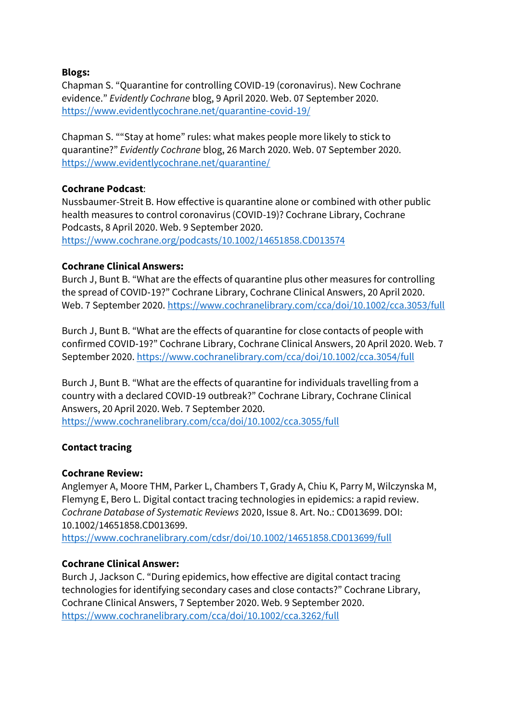### **Blogs:**

Chapman S. "Quarantine for controlling COVID-19 (coronavirus). New Cochrane evidence." *Evidently Cochrane* blog, 9 April 2020. Web. 07 September 2020. <https://www.evidentlycochrane.net/quarantine-covid-19/>

Chapman S. ""Stay at home" rules: what makes people more likely to stick to quarantine?" *Evidently Cochrane* blog, 26 March 2020. Web. 07 September 2020. <https://www.evidentlycochrane.net/quarantine/>

### **Cochrane Podcast**:

Nussbaumer-Streit B. How effective is quarantine alone or combined with other public health measures to control coronavirus (COVID-19)? Cochrane Library, Cochrane Podcasts, 8 April 2020. Web. 9 September 2020. <https://www.cochrane.org/podcasts/10.1002/14651858.CD013574>

### **Cochrane Clinical Answers:**

Burch J, Bunt B. "What are the effects of quarantine plus other measures for controlling the spread of COVID‐19?" Cochrane Library, Cochrane Clinical Answers, 20 April 2020. Web. 7 September 2020.<https://www.cochranelibrary.com/cca/doi/10.1002/cca.3053/full>

Burch J, Bunt B. "What are the effects of quarantine for close contacts of people with confirmed COVID‐19?" Cochrane Library, Cochrane Clinical Answers, 20 April 2020. Web. 7 September 2020[. https://www.cochranelibrary.com/cca/doi/10.1002/cca.3054/full](https://www.cochranelibrary.com/cca/doi/10.1002/cca.3054/full)

Burch J, Bunt B. "What are the effects of quarantine for individuals travelling from a country with a declared COVID‐19 outbreak?" Cochrane Library, Cochrane Clinical Answers, 20 April 2020. Web. 7 September 2020. <https://www.cochranelibrary.com/cca/doi/10.1002/cca.3055/full>

#### **Contact tracing**

#### **Cochrane Review:**

Anglemyer A, Moore THM, Parker L, Chambers T, Grady A, Chiu K, Parry M, Wilczynska M, Flemyng E, Bero L. Digital contact tracing technologies in epidemics: a rapid review. *Cochrane Database of Systematic Reviews* 2020, Issue 8. Art. No.: CD013699. DOI: 10.1002/14651858.CD013699.

<https://www.cochranelibrary.com/cdsr/doi/10.1002/14651858.CD013699/full>

### **Cochrane Clinical Answer:**

Burch J, Jackson C. "During epidemics, how effective are digital contact tracing technologies for identifying secondary cases and close contacts?" Cochrane Library, Cochrane Clinical Answers, 7 September 2020. Web. 9 September 2020. <https://www.cochranelibrary.com/cca/doi/10.1002/cca.3262/full>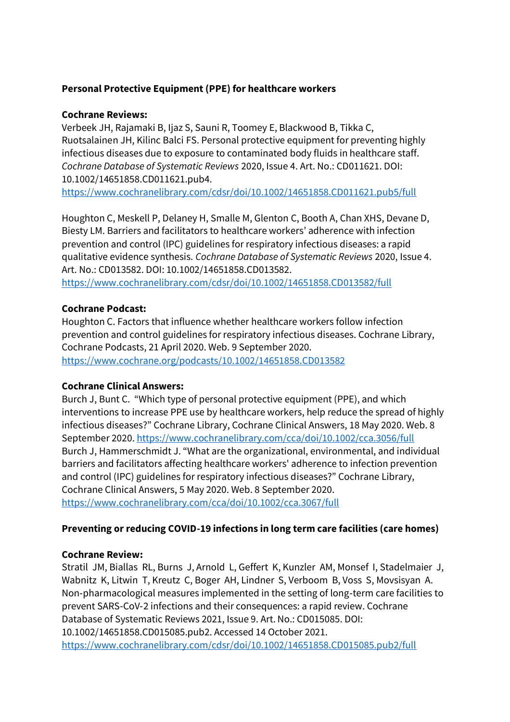# **Personal Protective Equipment (PPE) for healthcare workers**

### **Cochrane Reviews:**

Verbeek JH, Rajamaki B, Ijaz S, Sauni R, Toomey E, Blackwood B, Tikka C, Ruotsalainen JH, Kilinc Balci FS. Personal protective equipment for preventing highly infectious diseases due to exposure to contaminated body fluids in healthcare staff. *Cochrane Database of Systematic Reviews* 2020, Issue 4. Art. No.: CD011621. DOI: 10.1002/14651858.CD011621.pub4.

<https://www.cochranelibrary.com/cdsr/doi/10.1002/14651858.CD011621.pub5/full>

Houghton C, Meskell P, Delaney H, Smalle M, Glenton C, Booth A, Chan XHS, Devane D, Biesty LM. Barriers and facilitators to healthcare workers' adherence with infection prevention and control (IPC) guidelines for respiratory infectious diseases: a rapid qualitative evidence synthesis. *Cochrane Database of Systematic Reviews* 2020, Issue 4. Art. No.: CD013582. DOI: 10.1002/14651858.CD013582.

<https://www.cochranelibrary.com/cdsr/doi/10.1002/14651858.CD013582/full>

### **Cochrane Podcast:**

Houghton C. Factors that influence whether healthcare workers follow infection prevention and control guidelines for respiratory infectious diseases. Cochrane Library, Cochrane Podcasts, 21 April 2020. Web. 9 September 2020. <https://www.cochrane.org/podcasts/10.1002/14651858.CD013582>

### **Cochrane Clinical Answers:**

Burch J, Bunt C. "Which type of personal protective equipment (PPE), and which interventions to increase PPE use by healthcare workers, help reduce the spread of highly infectious diseases?" Cochrane Library, Cochrane Clinical Answers, 18 May 2020. Web. 8 September 2020. <https://www.cochranelibrary.com/cca/doi/10.1002/cca.3056/full> Burch J, Hammerschmidt J. "What are the organizational, environmental, and individual barriers and facilitators affecting healthcare workers' adherence to infection prevention and control (IPC) guidelines for respiratory infectious diseases?" Cochrane Library, Cochrane Clinical Answers, 5 May 2020. Web. 8 September 2020. <https://www.cochranelibrary.com/cca/doi/10.1002/cca.3067/full>

# **Preventing or reducing COVID-19 infections in long term care facilities (care homes)**

# **Cochrane Review:**

Stratil JM, Biallas RL, Burns J, Arnold L, Geffert K, Kunzler AM, Monsef I, Stadelmaier J, Wabnitz K, Litwin T, Kreutz C, Boger AH, Lindner S, Verboom B, Voss S, Movsisyan A. Non‐pharmacological measures implemented in the setting of long‐term care facilities to prevent SARS‐CoV‐2 infections and their consequences: a rapid review. Cochrane Database of Systematic Reviews 2021, Issue 9. Art. No.: CD015085. DOI: 10.1002/14651858.CD015085.pub2. Accessed 14 October 2021. <https://www.cochranelibrary.com/cdsr/doi/10.1002/14651858.CD015085.pub2/full>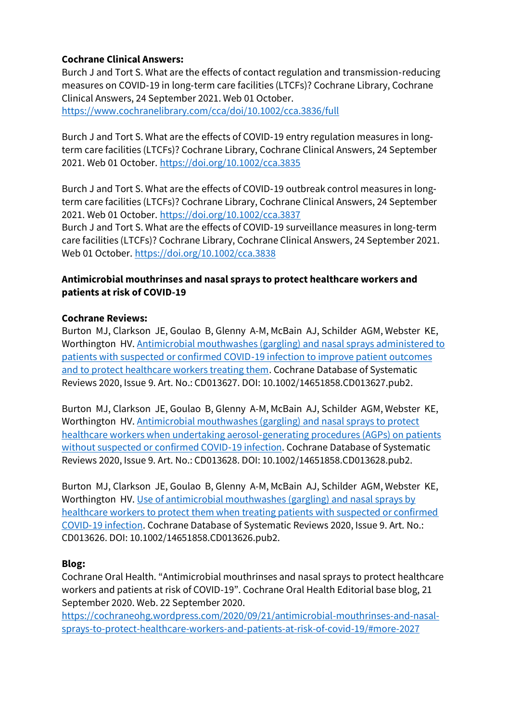# **Cochrane Clinical Answers:**

Burch J and Tort S. What are the effects of contact regulation and transmission‐reducing measures on COVID‐19 in long‐term care facilities (LTCFs)? Cochrane Library, Cochrane Clinical Answers, 24 September 2021. Web 01 October. <https://www.cochranelibrary.com/cca/doi/10.1002/cca.3836/full>

Burch J and Tort S. What are the effects of COVID‐19 entry regulation measures in long‐ term care facilities (LTCFs)? Cochrane Library, Cochrane Clinical Answers, 24 September 2021. Web 01 October.<https://doi.org/10.1002/cca.3835>

Burch J and Tort S. What are the effects of COVID‐19 outbreak control measures in long‐ term care facilities (LTCFs)? Cochrane Library, Cochrane Clinical Answers, 24 September 2021. Web 01 October.<https://doi.org/10.1002/cca.3837>

Burch J and Tort S. What are the effects of COVID‐19 surveillance measures in long‐term care facilities (LTCFs)? Cochrane Library, Cochrane Clinical Answers, 24 September 2021. Web 01 October.<https://doi.org/10.1002/cca.3838>

# **Antimicrobial mouthrinses and nasal sprays to protect healthcare workers and patients at risk of COVID-19**

### **Cochrane Reviews:**

Burton MJ, Clarkson JE, Goulao B, Glenny A-M, McBain AJ, Schilder AGM, Webster KE, Worthington HV. [Antimicrobial mouthwashes \(gargling\) and nasal sprays administered to](https://www.cochranelibrary.com/cdsr/doi/10.1002/14651858.CD013627.pub2/full)  [patients with suspected or confirmed COVID](https://www.cochranelibrary.com/cdsr/doi/10.1002/14651858.CD013627.pub2/full)‐19 infection to improve patient outcomes [and to protect healthcare workers treating them.](https://www.cochranelibrary.com/cdsr/doi/10.1002/14651858.CD013627.pub2/full) Cochrane Database of Systematic Reviews 2020, Issue 9. Art. No.: CD013627. DOI: 10.1002/14651858.CD013627.pub2.

Burton MJ, Clarkson JE, Goulao B, Glenny A-M, McBain AJ, Schilder AGM, Webster KE, Worthington HV. [Antimicrobial mouthwashes \(gargling\) and nasal sprays to protect](https://www.cochranelibrary.com/cdsr/doi/10.1002/14651858.CD013628.pub2/full?cookiesEnabled)  [healthcare workers when undertaking aerosol](https://www.cochranelibrary.com/cdsr/doi/10.1002/14651858.CD013628.pub2/full?cookiesEnabled)‐generating procedures (AGPs) on patients [without suspected or confirmed COVID](https://www.cochranelibrary.com/cdsr/doi/10.1002/14651858.CD013628.pub2/full?cookiesEnabled)‐19 infection. Cochrane Database of Systematic Reviews 2020, Issue 9. Art. No.: CD013628. DOI: 10.1002/14651858.CD013628.pub2.

Burton MJ, Clarkson JE, Goulao B, Glenny A-M, McBain AJ, Schilder AGM, Webster KE, Worthington HV. Use of antimicrobial mouthwashes (gargling) and nasal sprays by [healthcare workers to protect them when treating patients with suspected or confirmed](https://www.cochranelibrary.com/cdsr/doi/10.1002/14651858.CD013626.pub2/full)  COVID‐[19 infection.](https://www.cochranelibrary.com/cdsr/doi/10.1002/14651858.CD013626.pub2/full) Cochrane Database of Systematic Reviews 2020, Issue 9. Art. No.: CD013626. DOI: 10.1002/14651858.CD013626.pub2.

# **Blog:**

Cochrane Oral Health. "Antimicrobial mouthrinses and nasal sprays to protect healthcare workers and patients at risk of COVID-19". Cochrane Oral Health Editorial base blog, 21 September 2020. Web. 22 September 2020.

[https://cochraneohg.wordpress.com/2020/09/21/antimicrobial-mouthrinses-and-nasal](https://cochraneohg.wordpress.com/2020/09/21/antimicrobial-mouthrinses-and-nasal-sprays-to-protect-healthcare-workers-and-patients-at-risk-of-covid-19/#more-2027)[sprays-to-protect-healthcare-workers-and-patients-at-risk-of-covid-19/#more-2027](https://cochraneohg.wordpress.com/2020/09/21/antimicrobial-mouthrinses-and-nasal-sprays-to-protect-healthcare-workers-and-patients-at-risk-of-covid-19/#more-2027)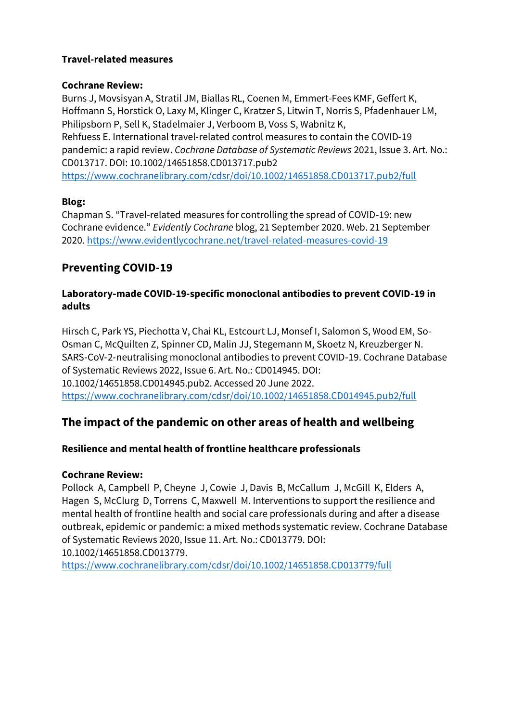### **Travel-related measures**

#### **Cochrane Review:**

Burns J, Movsisyan A, Stratil JM, Biallas RL, Coenen M, Emmert-Fees KMF, Geffert K, Hoffmann S, Horstick O, Laxy M, Klinger C, Kratzer S, Litwin T, Norris S, Pfadenhauer LM, Philipsborn P, Sell K, Stadelmaier J, Verboom B, Voss S, Wabnitz K, Rehfuess E. International travel‐related control measures to contain the COVID‐19 pandemic: a rapid review. *Cochrane Database of Systematic Reviews* 2021, Issue 3. Art. No.: CD013717. DOI: 10.1002/14651858.CD013717.pub2

<https://www.cochranelibrary.com/cdsr/doi/10.1002/14651858.CD013717.pub2/full>

### **Blog:**

Chapman S. "Travel-related measures for controlling the spread of COVID-19: new Cochrane evidence." *Evidently Cochrane* blog, 21 September 2020. Web. 21 September 2020.<https://www.evidentlycochrane.net/travel-related-measures-covid-19>

# **Preventing COVID-19**

# **Laboratory**‐**made COVID**‐**19**‐**specific monoclonal antibodies to prevent COVID**‐**19 in adults**

Hirsch C, Park YS, Piechotta V, Chai KL, Estcourt LJ, Monsef I, Salomon S, Wood EM, So-Osman C, McQuilten Z, Spinner CD, Malin JJ, Stegemann M, Skoetz N, Kreuzberger N. SARS‐CoV‐2‐neutralising monoclonal antibodies to prevent COVID‐19. Cochrane Database of Systematic Reviews 2022, Issue 6. Art. No.: CD014945. DOI: 10.1002/14651858.CD014945.pub2. Accessed 20 June 2022. <https://www.cochranelibrary.com/cdsr/doi/10.1002/14651858.CD014945.pub2/full>

# **The impact of the pandemic on other areas of health and wellbeing**

# **Resilience and mental health of frontline healthcare professionals**

# **Cochrane Review:**

Pollock A, Campbell P, Cheyne J, Cowie J, Davis B, McCallum J, McGill K, Elders A, Hagen S, McClurg D, Torrens C, Maxwell M. Interventions to support the resilience and mental health of frontline health and social care professionals during and after a disease outbreak, epidemic or pandemic: a mixed methods systematic review. Cochrane Database of Systematic Reviews 2020, Issue 11. Art. No.: CD013779. DOI: 10.1002/14651858.CD013779.

<https://www.cochranelibrary.com/cdsr/doi/10.1002/14651858.CD013779/full>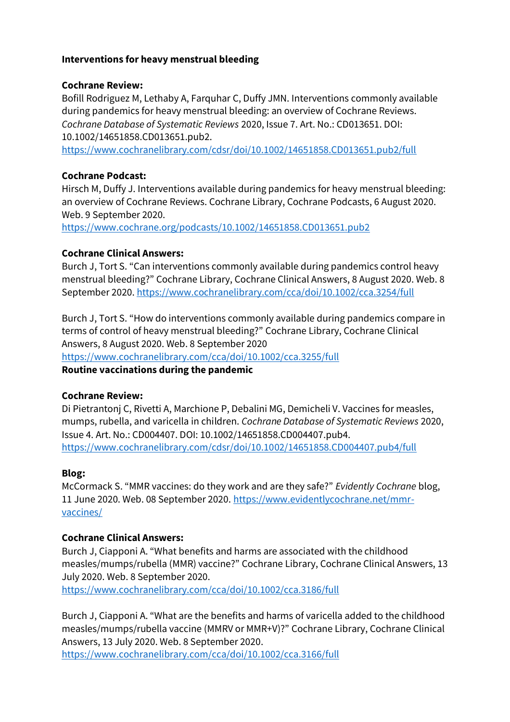### **Interventions for heavy menstrual bleeding**

#### **Cochrane Review:**

Bofill Rodriguez M, Lethaby A, Farquhar C, Duffy JMN. Interventions commonly available during pandemics for heavy menstrual bleeding: an overview of Cochrane Reviews. *Cochrane Database of Systematic Reviews* 2020, Issue 7. Art. No.: CD013651. DOI: 10.1002/14651858.CD013651.pub2.

<https://www.cochranelibrary.com/cdsr/doi/10.1002/14651858.CD013651.pub2/full>

### **Cochrane Podcast:**

Hirsch M, Duffy J. Interventions available during pandemics for heavy menstrual bleeding: an overview of Cochrane Reviews. Cochrane Library, Cochrane Podcasts, 6 August 2020. Web. 9 September 2020.

<https://www.cochrane.org/podcasts/10.1002/14651858.CD013651.pub2>

### **Cochrane Clinical Answers:**

Burch J, Tort S. "Can interventions commonly available during pandemics control heavy menstrual bleeding?" Cochrane Library, Cochrane Clinical Answers, 8 August 2020. Web. 8 September 2020[. https://www.cochranelibrary.com/cca/doi/10.1002/cca.3254/full](https://www.cochranelibrary.com/cca/doi/10.1002/cca.3254/full)

Burch J, Tort S. "How do interventions commonly available during pandemics compare in terms of control of heavy menstrual bleeding?" Cochrane Library, Cochrane Clinical Answers, 8 August 2020. Web. 8 September 2020

<https://www.cochranelibrary.com/cca/doi/10.1002/cca.3255/full>

### **Routine vaccinations during the pandemic**

### **Cochrane Review:**

Di Pietrantonj C, Rivetti A, Marchione P, Debalini MG, Demicheli V. Vaccines for measles, mumps, rubella, and varicella in children. *Cochrane Database of Systematic Reviews* 2020, Issue 4. Art. No.: CD004407. DOI: 10.1002/14651858.CD004407.pub4. <https://www.cochranelibrary.com/cdsr/doi/10.1002/14651858.CD004407.pub4/full>

### **Blog:**

McCormack S. "MMR vaccines: do they work and are they safe?" *Evidently Cochrane* blog, 11 June 2020. Web. 08 September 2020. [https://www.evidentlycochrane.net/mmr](https://www.evidentlycochrane.net/mmr-vaccines/)[vaccines/](https://www.evidentlycochrane.net/mmr-vaccines/)

# **Cochrane Clinical Answers:**

Burch J, Ciapponi A. "What benefits and harms are associated with the childhood measles/mumps/rubella (MMR) vaccine?" Cochrane Library, Cochrane Clinical Answers, 13 July 2020. Web. 8 September 2020.

<https://www.cochranelibrary.com/cca/doi/10.1002/cca.3186/full>

Burch J, Ciapponi A. "What are the benefits and harms of varicella added to the childhood measles/mumps/rubella vaccine (MMRV or MMR+V)?" Cochrane Library, Cochrane Clinical Answers, 13 July 2020. Web. 8 September 2020.

<https://www.cochranelibrary.com/cca/doi/10.1002/cca.3166/full>